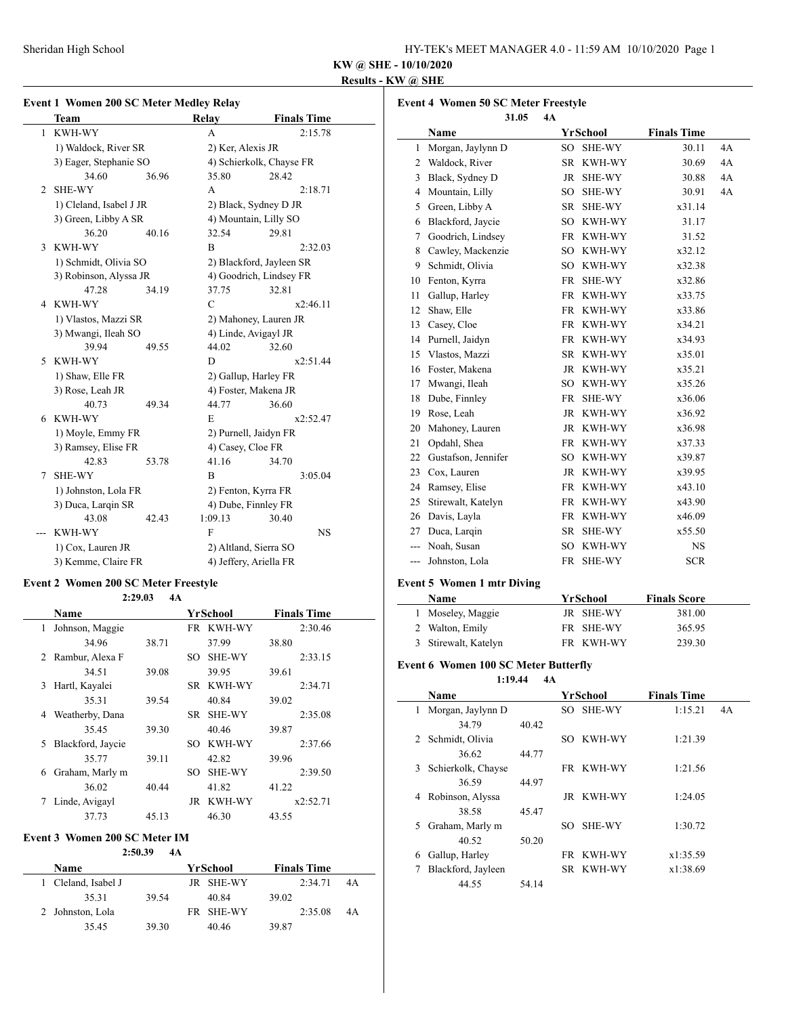| HY-TEK's MEET MANAGER 4.0 - 11:59 AM 10/10/2020 Page 1 |  |  |
|--------------------------------------------------------|--|--|
|--------------------------------------------------------|--|--|

# **KW @ SHE - 10/10/2020**

# **Results - KW @ SHE**

#### **Event 1 Women 200 SC Meter Medley Relay**

|                | Team                    |       | Relay                  | <b>Finals Time</b>       |  |
|----------------|-------------------------|-------|------------------------|--------------------------|--|
| 1              | <b>KWH-WY</b>           |       | A                      | 2:15.78                  |  |
|                | 1) Waldock, River SR    |       | 2) Ker, Alexis JR      |                          |  |
|                | 3) Eager, Stephanie SO  |       |                        | 4) Schierkolk, Chayse FR |  |
|                | 34.60                   | 36.96 | 35.80                  | 28.42                    |  |
| $\overline{2}$ | <b>SHE-WY</b>           |       | A                      | 2:18.71                  |  |
|                | 1) Cleland, Isabel J JR |       |                        | 2) Black, Sydney D JR    |  |
|                | 3) Green, Libby A SR    |       |                        | 4) Mountain, Lilly SO    |  |
|                | 36.20                   | 40.16 | 32.54                  | 29.81                    |  |
| 3              | <b>KWH-WY</b>           |       | B                      | 2:32.03                  |  |
|                | 1) Schmidt, Olivia SO   |       |                        | 2) Blackford, Jayleen SR |  |
|                | 3) Robinson, Alyssa JR  |       |                        | 4) Goodrich, Lindsey FR  |  |
|                | 47.28                   | 34.19 | 37.75                  | 32.81                    |  |
| 4              | KWH-WY                  |       | $\mathcal{C}$          | x2:46.11                 |  |
|                | 1) Vlastos, Mazzi SR    |       | 2) Mahoney, Lauren JR  |                          |  |
|                | 3) Mwangi, Ileah SO     |       | 4) Linde, Avigayl JR   |                          |  |
|                | 39.94                   | 49.55 | 44.02                  | 32.60                    |  |
| 5.             | <b>KWH-WY</b>           |       | D                      | x2:51.44                 |  |
|                | 1) Shaw, Elle FR        |       | 2) Gallup, Harley FR   |                          |  |
|                | 3) Rose, Leah JR        |       |                        | 4) Foster, Makena JR     |  |
|                | 40.73                   | 49.34 | 44.77                  | 36.60                    |  |
| 6              | <b>KWH-WY</b>           |       | E                      | x2:52.47                 |  |
|                | 1) Moyle, Emmy FR       |       | 2) Purnell, Jaidyn FR  |                          |  |
|                | 3) Ramsey, Elise FR     |       | 4) Casey, Cloe FR      |                          |  |
|                | 42.83                   | 53.78 | 41.16                  | 34.70                    |  |
| 7              | <b>SHE-WY</b>           |       | B                      | 3:05.04                  |  |
|                | 1) Johnston, Lola FR    |       | 2) Fenton, Kyrra FR    |                          |  |
|                | 3) Duca, Larqin SR      |       | 4) Dube, Finnley FR    |                          |  |
|                | 43.08                   | 42.43 | 1:09.13                | 30.40                    |  |
|                | <b>KWH-WY</b>           |       | $\mathbf{F}$           | <b>NS</b>                |  |
|                | 1) Cox, Lauren JR       |       | 2) Altland, Sierra SO  |                          |  |
|                | 3) Kemme, Claire FR     |       | 4) Jeffery, Ariella FR |                          |  |

# **Event 2 Women 200 SC Meter Freestyle**

| 2:29.03<br>4A |                   |       |     |               |                    |  |  |
|---------------|-------------------|-------|-----|---------------|--------------------|--|--|
|               | Name              |       |     | YrSchool      | <b>Finals Time</b> |  |  |
| 1             | Johnson, Maggie   |       |     | FR KWH-WY     | 2:30.46            |  |  |
|               | 34.96             | 38.71 |     | 37.99         | 38.80              |  |  |
| 2             | Rambur, Alexa F   |       | SO. | SHE-WY        | 2:33.15            |  |  |
|               | 34.51             | 39.08 |     | 39.95         | 39.61              |  |  |
| 3             | Hartl, Kayalei    |       |     | SR KWH-WY     | 2:34.71            |  |  |
|               | 35.31             | 39.54 |     | 40.84         | 39.02              |  |  |
| 4             | Weatherby, Dana   |       |     | SR SHE-WY     | 2:35.08            |  |  |
|               | 35.45             | 39.30 |     | 40.46         | 39.87              |  |  |
| 5.            | Blackford, Jaycie |       | SO. | <b>KWH-WY</b> | 2:37.66            |  |  |
|               | 35.77             | 39.11 |     | 42.82         | 39.96              |  |  |
| 6             | Graham, Marly m   |       | SO  | <b>SHE-WY</b> | 2:39.50            |  |  |
|               | 36.02             | 40.44 |     | 41.82         | 41.22              |  |  |
|               | Linde, Avigayl    |       |     | JR KWH-WY     | x2:52.71           |  |  |
|               | 37.73             | 45.13 |     | 46.30         | 43.55              |  |  |

#### **Event 3 Women 200 SC Meter IM**

#### **2:50.39 4A**

| Name                |       |  | YrSchool  | <b>Finals Time</b> |         |    |
|---------------------|-------|--|-----------|--------------------|---------|----|
| 1 Cleland, Isabel J |       |  | JR SHE-WY |                    | 2:34.71 | 4A |
| 35.31               | 39.54 |  | 40.84     | 39.02              |         |    |
| 2 Johnston, Lola    |       |  | FR SHE-WY |                    | 2:35.08 | 4A |
| 35.45               | 39.30 |  | 40.46     | 39.87              |         |    |

|                | <b>Event 4 Women 50 SC Meter Freestyle</b> |           |               |                    |    |
|----------------|--------------------------------------------|-----------|---------------|--------------------|----|
|                | 31.05<br>Name                              | 4A        | YrSchool      | <b>Finals Time</b> |    |
| 1              | Morgan, Jaylynn D                          | SO.       | <b>SHE-WY</b> | 30.11              | 4A |
| 2              | Waldock, River                             | <b>SR</b> | KWH-WY        | 30.69              | 4A |
| 3              | Black, Sydney D                            | JR        | SHE-WY        | 30.88              | 4A |
| 4              | Mountain, Lilly                            | $SO^-$    | SHE-WY        | 30.91              | 4A |
| 5              | Green, Libby A                             | SR        | SHE-WY        | x31.14             |    |
| 6              | Blackford, Jaycie                          | SO        | KWH-WY        | 31.17              |    |
| 7              | Goodrich, Lindsey                          |           | FR KWH-WY     | 31.52              |    |
| 8              | Cawley, Mackenzie                          | SO.       | KWH-WY        | x32.12             |    |
| 9              | Schmidt, Olivia                            | SO        | KWH-WY        | x32.38             |    |
| 10             | Fenton, Kyrra                              | <b>FR</b> | SHE-WY        | x32.86             |    |
| 11             | Gallup, Harley                             | FR        | KWH-WY        | x33.75             |    |
| 12             | Shaw, Elle                                 | FR        | KWH-WY        | x33.86             |    |
| 13             | Casey, Cloe                                | <b>FR</b> | KWH-WY        | x34.21             |    |
| 14             | Purnell, Jaidyn                            | FR        | KWH-WY        | x34.93             |    |
| 15             | Vlastos, Mazzi                             | SR        | KWH-WY        | x35.01             |    |
| 16             | Foster, Makena                             | JR        | KWH-WY        | x35.21             |    |
| 17             | Mwangi, Ileah                              |           | SO KWH-WY     | x35.26             |    |
| 18             | Dube, Finnley                              | <b>FR</b> | SHE-WY        | x36.06             |    |
| 19             | Rose, Leah                                 | JR        | KWH-WY        | x36.92             |    |
| 20             | Mahoney, Lauren                            |           | JR KWH-WY     | x36.98             |    |
| 21             | Opdahl, Shea                               | <b>FR</b> | KWH-WY        | x37.33             |    |
| 22             | Gustafson, Jennifer                        | SO        | KWH-WY        | x39.87             |    |
| 23             | Cox, Lauren                                |           | JR KWH-WY     | x39.95             |    |
| 24             | Ramsey, Elise                              | <b>FR</b> | KWH-WY        | x43.10             |    |
| 25             | Stirewalt, Katelyn                         | <b>FR</b> | KWH-WY        | x43.90             |    |
| 26             | Davis, Layla                               | FR        | KWH-WY        | x46.09             |    |
| 27             | Duca, Larqin                               | <b>SR</b> | SHE-WY        | x55.50             |    |
| $\overline{a}$ | Noah. Susan                                | SO        | KWH-WY        | <b>NS</b>          |    |
| ---            | Johnston, Lola                             | FR        | <b>SHE-WY</b> | <b>SCR</b>         |    |

# **Event 5 Women 1 mtr Diving**

| <b>Name</b>          | YrSchool  | <b>Finals Score</b> |  |  |
|----------------------|-----------|---------------------|--|--|
| 1 Moseley, Maggie    | JR SHE-WY | 381.00              |  |  |
| 2 Walton, Emily      | FR SHE-WY | 365.95              |  |  |
| 3 Stirewalt, Katelyn | FR KWH-WY | 239.30              |  |  |

#### **Event 6 Women 100 SC Meter Butterfly**

**1:19.44 4A**

|   | Name               |       |     | YrSchool  | <b>Finals Time</b> |    |
|---|--------------------|-------|-----|-----------|--------------------|----|
|   | Morgan, Jaylynn D  |       |     | SO SHE-WY | 1:15.21            | 4A |
|   | 34.79              | 40.42 |     |           |                    |    |
| 2 | Schmidt, Olivia    |       | SO. | KWH-WY    | 1:21.39            |    |
|   | 36.62              | 44.77 |     |           |                    |    |
| 3 | Schierkolk, Chayse |       |     | FR KWH-WY | 1:21.56            |    |
|   | 36.59              | 44.97 |     |           |                    |    |
| 4 | Robinson, Alyssa   |       |     | JR KWH-WY | 1:24.05            |    |
|   | 38.58              | 45.47 |     |           |                    |    |
| 5 | Graham, Marly m    |       | SO. | SHE-WY    | 1:30.72            |    |
|   | 40.52              | 50.20 |     |           |                    |    |
| 6 | Gallup, Harley     |       |     | FR KWH-WY | x1:35.59           |    |
| 7 | Blackford, Jayleen |       |     | SR KWH-WY | x1:38.69           |    |
|   | 44.55              | 54.14 |     |           |                    |    |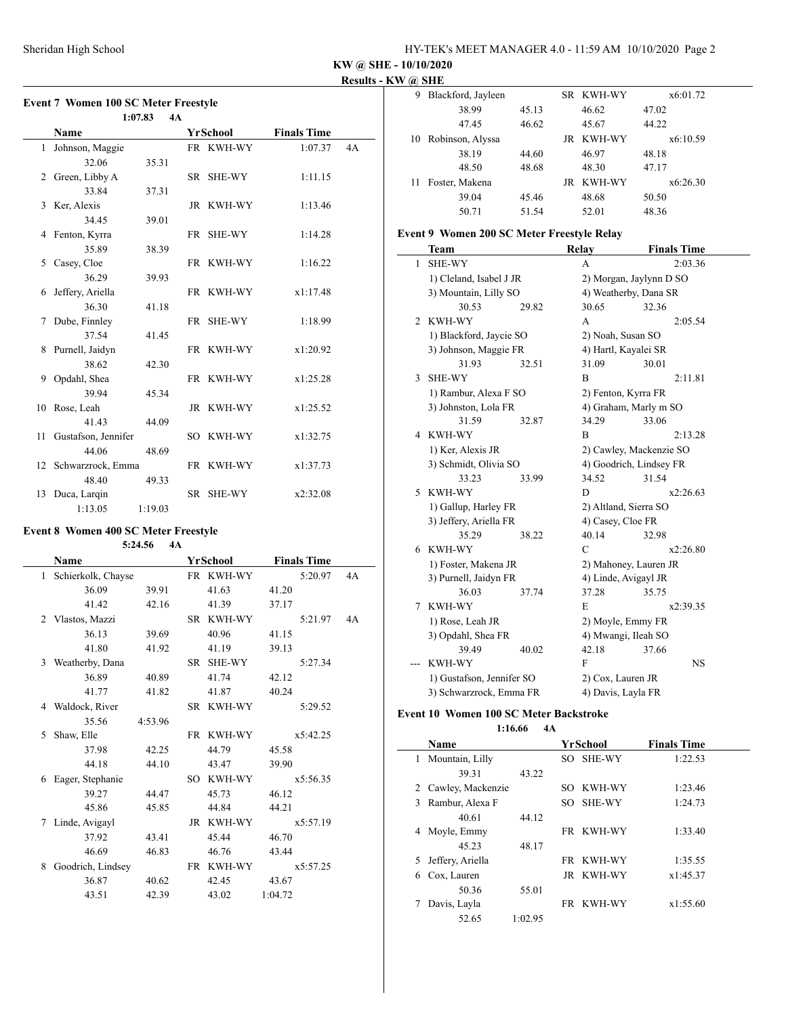**KW @ SHE - 10/10/2020**

**Results - KW @ SHE**

### **Event 7 Women 100 SC Meter Freestyle**

|    |                        | 4A<br>1:07.83 |           |                    |    |
|----|------------------------|---------------|-----------|--------------------|----|
|    | Name                   |               | YrSchool  | <b>Finals Time</b> |    |
|    | 1 Johnson, Maggie      |               | FR KWH-WY | 1:07.37            | 4A |
|    | 32.06                  | 35.31         |           |                    |    |
|    | 2 Green, Libby A       |               | SR SHE-WY | 1:11.15            |    |
|    | 33.84                  | 37.31         |           |                    |    |
|    | 3 Ker, Alexis          |               | JR KWH-WY | 1:13.46            |    |
|    | 34.45                  | 39.01         |           |                    |    |
|    | 4 Fenton, Kyrra        |               | FR SHE-WY | 1:14.28            |    |
|    | 35.89                  | 38.39         |           |                    |    |
| 5  | Casey, Cloe            |               | FR KWH-WY | 1:16.22            |    |
|    | 36.29                  | 39.93         |           |                    |    |
|    | 6 Jeffery, Ariella     |               | FR KWH-WY | x1:17.48           |    |
|    | 36.30                  | 41.18         |           |                    |    |
| 7  | Dube, Finnley          |               | FR SHE-WY | 1:18.99            |    |
|    | 37.54                  | 41.45         |           |                    |    |
|    | 8 Purnell, Jaidyn      |               | FR KWH-WY | x1:20.92           |    |
|    | 38.62                  | 42.30         |           |                    |    |
|    | 9 Opdahl, Shea         |               | FR KWH-WY | x1:25.28           |    |
|    | 39.94                  | 45.34         |           |                    |    |
|    | 10 Rose, Leah          |               | JR KWH-WY | x1:25.52           |    |
|    | 41.43                  | 44.09         |           |                    |    |
|    | 11 Gustafson, Jennifer |               | SO KWH-WY | x1:32.75           |    |
|    | 44.06                  | 48.69         |           |                    |    |
|    | 12 Schwarzrock, Emma   |               | FR KWH-WY | x1:37.73           |    |
|    | 48.40                  | 49.33         |           |                    |    |
| 13 | Duca, Larqin           |               | SR SHE-WY | x2:32.08           |    |
|    | 1:13.05                | 1:19.03       |           |                    |    |

# **Event 8 Women 400 SC Meter Freestyle**

**5:24.56 4A**

|   | Name               |         |     | YrSchool  | <b>Finals Time</b> |    |
|---|--------------------|---------|-----|-----------|--------------------|----|
| 1 | Schierkolk, Chayse |         |     | FR KWH-WY | 5:20.97            | 4A |
|   | 36.09              | 39.91   |     | 41.63     | 41.20              |    |
|   | 41.42              | 42.16   |     | 41.39     | 37.17              |    |
|   | 2 Vlastos, Mazzi   |         |     | SR KWH-WY | 5:21.97            | 4A |
|   | 36.13              | 39.69   |     | 40.96     | 41.15              |    |
|   | 41.80              | 41.92   |     | 41.19     | 39.13              |    |
|   | 3 Weatherby, Dana  |         |     | SR SHE-WY | 5:27.34            |    |
|   | 36.89              | 40.89   |     | 41.74     | 42.12              |    |
|   | 41.77              | 41.82   |     | 41.87     | 40.24              |    |
|   | 4 Waldock, River   |         |     | SR KWH-WY | 5:29.52            |    |
|   | 35.56              | 4:53.96 |     |           |                    |    |
| 5 | Shaw, Elle         |         |     | FR KWH-WY | x5:42.25           |    |
|   | 37.98              | 42.25   |     | 44.79     | 45.58              |    |
|   | 44.18              | 44.10   |     | 43.47     | 39.90              |    |
| 6 | Eager, Stephanie   |         | SO. | KWH-WY    | x5:56.35           |    |
|   | 39.27              | 44.47   |     | 45.73     | 46.12              |    |
|   | 45.86              | 45.85   |     | 44.84     | 44.21              |    |
| 7 | Linde, Avigayl     |         |     | JR KWH-WY | x5:57.19           |    |
|   | 37.92              | 43.41   |     | 45.44     | 46.70              |    |
|   | 46.69              | 46.83   |     | 46.76     | 43.44              |    |
| 8 | Goodrich, Lindsey  |         |     | FR KWH-WY | x5:57.25           |    |
|   | 36.87              | 40.62   |     | 42.45     | 43.67              |    |
|   | 43.51              | 42.39   |     | 43.02     | 1:04.72            |    |
|   |                    |         |     |           |                    |    |

| 9   | Blackford, Jayleen  |       | SR KWH-WY | x6:01.72 |
|-----|---------------------|-------|-----------|----------|
|     | 38.99               | 45.13 | 46.62     | 47.02    |
|     | 47.45               | 46.62 | 45.67     | 44.22    |
|     | 10 Robinson, Alyssa |       | JR KWH-WY | x6:10.59 |
|     | 38.19               | 44.60 | 46.97     | 48.18    |
|     | 48.50               | 48.68 | 48.30     | 47.17    |
| 11. | Foster, Makena      |       | JR KWH-WY | x6:26.30 |
|     | 39.04               | 45.46 | 48.68     | 50.50    |
|     | 50.71               | 51.54 | 52.01     | 48.36    |

#### **Event 9 Women 200 SC Meter Freestyle Relay**

|                | Team                        |       | <b>Relay</b>                 | <b>Finals Time</b> |  |
|----------------|-----------------------------|-------|------------------------------|--------------------|--|
| 1              | <b>SHE-WY</b>               |       | A                            | 2:03.36            |  |
|                | 1) Cleland, Isabel J JR     |       | 2) Morgan, Jaylynn D SO      |                    |  |
|                | 3) Mountain, Lilly SO       |       | 4) Weatherby, Dana SR        |                    |  |
|                | 30.53                       | 29.82 | 30.65                        | 32.36              |  |
| $\overline{c}$ | KWH-WY                      |       | A                            | 2:05.54            |  |
|                | 1) Blackford, Jaycie SO     |       | 2) Noah, Susan SO            |                    |  |
|                | 3) Johnson, Maggie FR       |       | 4) Hartl, Kayalei SR         |                    |  |
|                | 31.93                       | 32.51 | 31.09                        | 30.01              |  |
| 3              | <b>SHE-WY</b>               |       | B                            | 2:11.81            |  |
|                | 1) Rambur, Alexa F SO       |       | 2) Fenton, Kyrra FR          |                    |  |
|                | 3) Johnston, Lola FR        |       | 4) Graham, Marly m SO        |                    |  |
|                | 31.59                       | 32.87 | 34.29                        | 33.06              |  |
| 4              | KWH-WY                      |       | B                            | 2:13.28            |  |
|                | 1) Ker, Alexis JR           |       | 2) Cawley, Mackenzie SO      |                    |  |
|                | 3) Schmidt, Olivia SO       |       | 4) Goodrich, Lindsey FR      |                    |  |
|                | 33.23                       | 33.99 | 34.52                        | 31.54              |  |
| 5              | KWH-WY                      |       | D                            | x2:26.63           |  |
|                | 1) Gallup, Harley FR        |       | 2) Altland, Sierra SO        |                    |  |
|                | 3) Jeffery, Ariella FR      |       | 4) Casey, Cloe FR            |                    |  |
|                | 35.29                       | 38.22 | 40.14                        | 32.98              |  |
| 6              | KWH-WY                      |       | $\mathcal{C}$                | x2:26.80           |  |
|                | 1) Foster, Makena JR        |       | 2) Mahoney, Lauren JR        |                    |  |
|                | 3) Purnell, Jaidyn FR       |       | 4) Linde, Avigayl JR         |                    |  |
|                | 36.03                       | 37.74 | 37.28                        | 35.75              |  |
| 7              | KWH-WY                      |       | E                            | x2:39.35           |  |
|                | 1) Rose, Leah JR            |       | 2) Moyle, Emmy FR            |                    |  |
|                | 3) Opdahl, Shea FR<br>39.49 | 40.02 | 4) Mwangi, Ileah SO<br>42.18 | 37.66              |  |
|                | KWH-WY                      |       | F                            | <b>NS</b>          |  |
|                |                             |       | 2) Cox, Lauren JR            |                    |  |
|                | 1) Gustafson, Jennifer SO   |       |                              |                    |  |

# **Event 10 Women 100 SC Meter Backstroke**

 $\frac{1}{1-\frac{1}{2}}\left( \frac{1}{2}\right) ^{2}+\frac{1}{2}\left( \frac{1}{2}\right) ^{2}+\frac{1}{2}\left( \frac{1}{2}\right) ^{2}+\frac{1}{2}\left( \frac{1}{2}\right) ^{2}+\frac{1}{2}\left( \frac{1}{2}\right) ^{2}+\frac{1}{2}\left( \frac{1}{2}\right) ^{2}+\frac{1}{2}\left( \frac{1}{2}\right) ^{2}+\frac{1}{2}\left( \frac{1}{2}\right) ^{2}+\frac{1}{2}\left( \frac{1}{2}\right) ^{2}+\frac{1}{2}\left( \frac{1}{2$ 

**1:16.66 4A**

|   | Name              |         |     | YrSchool  | <b>Finals Time</b> |  |
|---|-------------------|---------|-----|-----------|--------------------|--|
| 1 | Mountain, Lilly   |         |     | SO SHE-WY | 1:22.53            |  |
|   | 39.31             | 43.22   |     |           |                    |  |
| 2 | Cawley, Mackenzie |         |     | SO KWH-WY | 1:23.46            |  |
| 3 | Rambur, Alexa F   |         |     | SO SHE-WY | 1:24.73            |  |
|   | 40.61             | 44.12   |     |           |                    |  |
| 4 | Moyle, Emmy       |         |     | FR KWH-WY | 1:33.40            |  |
|   | 45.23             | 48.17   |     |           |                    |  |
| 5 | Jeffery, Ariella  |         | FR. | KWH-WY    | 1:35.55            |  |
| 6 | Cox, Lauren       |         |     | JR KWH-WY | x1:45.37           |  |
|   | 50.36             | 55.01   |     |           |                    |  |
|   | Davis, Layla      |         |     | FR KWH-WY | x1:55.60           |  |
|   | 52.65             | 1:02.95 |     |           |                    |  |